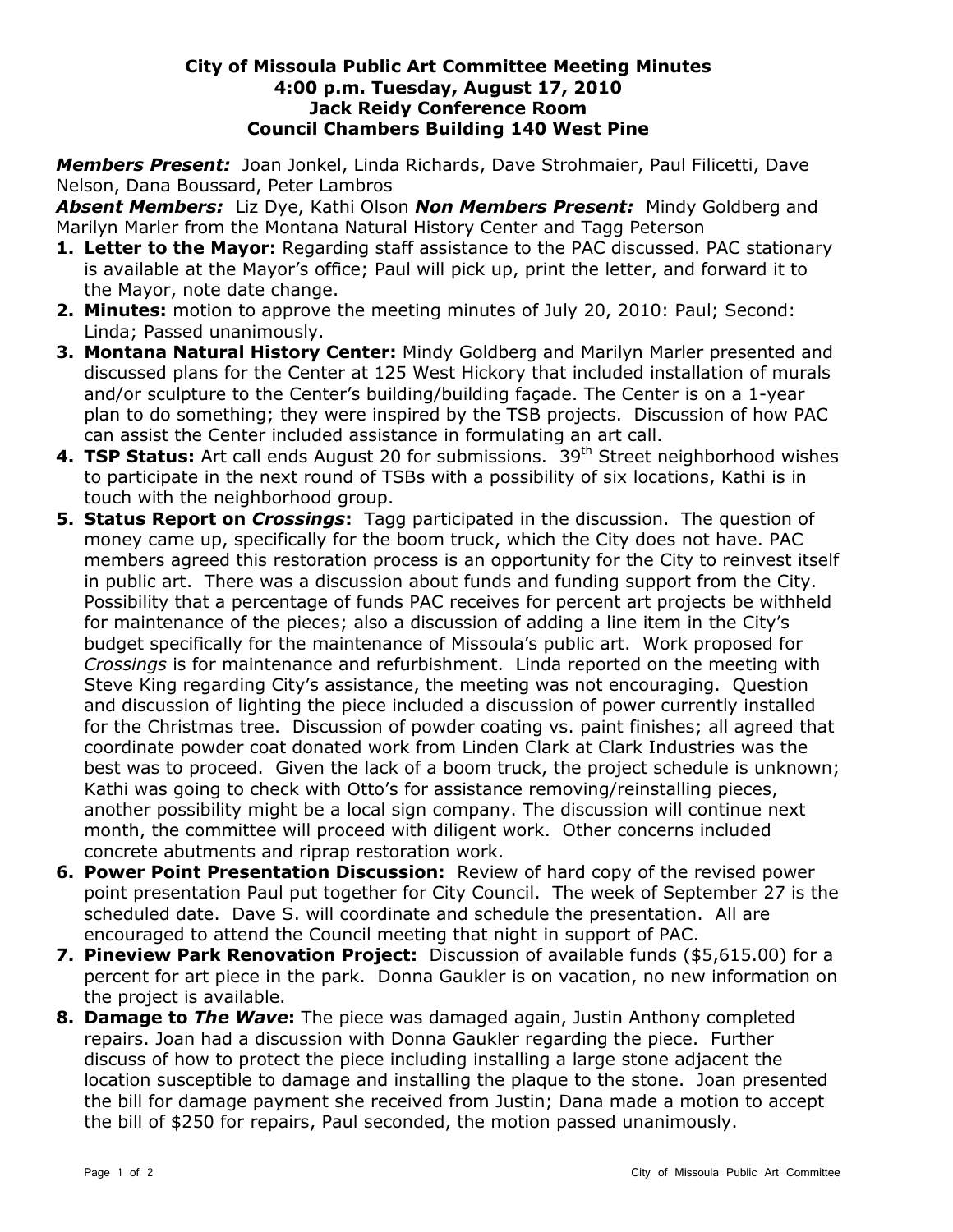## **City of Missoula Public Art Committee Meeting Minutes 4:00 p.m. Tuesday, August 17, 2010 Jack Reidy Conference Room Council Chambers Building 140 West Pine**

*Members Present:* Joan Jonkel, Linda Richards, Dave Strohmaier, Paul Filicetti, Dave Nelson, Dana Boussard, Peter Lambros

*Absent Members:* Liz Dye, Kathi Olson *Non Members Present:* Mindy Goldberg and Marilyn Marler from the Montana Natural History Center and Tagg Peterson

- **1. Letter to the Mayor:** Regarding staff assistance to the PAC discussed. PAC stationary is available at the Mayor's office; Paul will pick up, print the letter, and forward it to the Mayor, note date change.
- **2. Minutes:** motion to approve the meeting minutes of July 20, 2010: Paul; Second: Linda; Passed unanimously.
- **3. Montana Natural History Center:** Mindy Goldberg and Marilyn Marler presented and discussed plans for the Center at 125 West Hickory that included installation of murals and/or sculpture to the Center's building/building façade. The Center is on a 1-year plan to do something; they were inspired by the TSB projects. Discussion of how PAC can assist the Center included assistance in formulating an art call.
- **4. TSP Status:** Art call ends August 20 for submissions. 39<sup>th</sup> Street neighborhood wishes to participate in the next round of TSBs with a possibility of six locations, Kathi is in touch with the neighborhood group.
- **5. Status Report on** *Crossings***:** Tagg participated in the discussion. The question of money came up, specifically for the boom truck, which the City does not have. PAC members agreed this restoration process is an opportunity for the City to reinvest itself in public art. There was a discussion about funds and funding support from the City. Possibility that a percentage of funds PAC receives for percent art projects be withheld for maintenance of the pieces; also a discussion of adding a line item in the City's budget specifically for the maintenance of Missoula's public art. Work proposed for *Crossings* is for maintenance and refurbishment. Linda reported on the meeting with Steve King regarding City's assistance, the meeting was not encouraging. Question and discussion of lighting the piece included a discussion of power currently installed for the Christmas tree. Discussion of powder coating vs. paint finishes; all agreed that coordinate powder coat donated work from Linden Clark at Clark Industries was the best was to proceed. Given the lack of a boom truck, the project schedule is unknown; Kathi was going to check with Otto's for assistance removing/reinstalling pieces, another possibility might be a local sign company. The discussion will continue next month, the committee will proceed with diligent work. Other concerns included concrete abutments and riprap restoration work.
- **6. Power Point Presentation Discussion:** Review of hard copy of the revised power point presentation Paul put together for City Council. The week of September 27 is the scheduled date. Dave S. will coordinate and schedule the presentation. All are encouraged to attend the Council meeting that night in support of PAC.
- **7. Pineview Park Renovation Project:** Discussion of available funds (\$5,615.00) for a percent for art piece in the park. Donna Gaukler is on vacation, no new information on the project is available.
- **8. Damage to** *The Wave***:** The piece was damaged again, Justin Anthony completed repairs. Joan had a discussion with Donna Gaukler regarding the piece. Further discuss of how to protect the piece including installing a large stone adjacent the location susceptible to damage and installing the plaque to the stone. Joan presented the bill for damage payment she received from Justin; Dana made a motion to accept the bill of \$250 for repairs, Paul seconded, the motion passed unanimously.